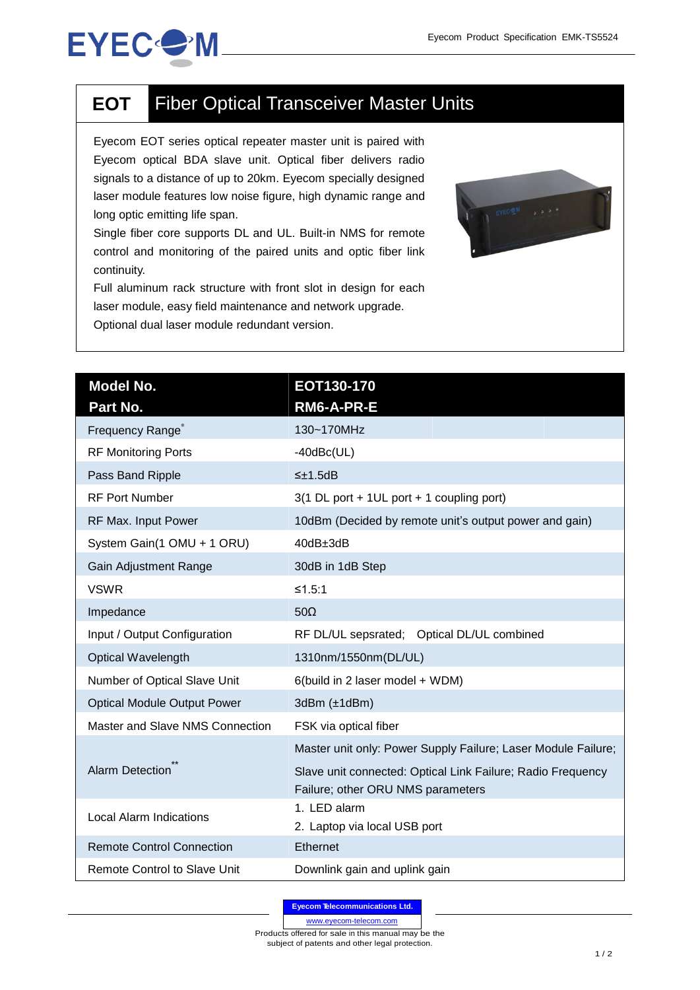## **EYEC<sup>O</sup>M**

## **EOT** Fiber Optical Transceiver Master Units

Eyecom EOT series optical repeater master unit is paired with Eyecom optical BDA slave unit. Optical fiber delivers radio signals to a distance of up to 20km. Eyecom specially designed laser module features low noise figure, high dynamic range and long optic emitting life span.

Single fiber core supports DL and UL. Built-in NMS for remote control and monitoring of the paired units and optic fiber link continuity.

Full aluminum rack structure with front slot in design for each laser module, easy field maintenance and network upgrade. Optional dual laser module redundant version.



| Model No.<br>Part No.               | EOT130-170<br>RM6-A-PR-E                                                                         |
|-------------------------------------|--------------------------------------------------------------------------------------------------|
| Frequency Range <sup>®</sup>        | 130~170MHz                                                                                       |
| <b>RF Monitoring Ports</b>          | $-40$ d $Bc(UL)$                                                                                 |
| Pass Band Ripple                    | $\leq \pm 1.5$ dB                                                                                |
| <b>RF Port Number</b>               | 3(1 DL port + 1UL port + 1 coupling port)                                                        |
| RF Max. Input Power                 | 10dBm (Decided by remote unit's output power and gain)                                           |
| System Gain(1 OMU + 1 ORU)          | 40dB±3dB                                                                                         |
| Gain Adjustment Range               | 30dB in 1dB Step                                                                                 |
| <b>VSWR</b>                         | ≤1.5:1                                                                                           |
| Impedance                           | $50\Omega$                                                                                       |
| Input / Output Configuration        | RF DL/UL sepsrated; Optical DL/UL combined                                                       |
| <b>Optical Wavelength</b>           | 1310nm/1550nm(DL/UL)                                                                             |
| Number of Optical Slave Unit        | 6(build in 2 laser model + WDM)                                                                  |
| <b>Optical Module Output Power</b>  | 3dBr(±1dBm)                                                                                      |
| Master and Slave NMS Connection     | FSK via optical fiber                                                                            |
| Alarm Detection                     | Master unit only: Power Supply Failure; Laser Module Failure;                                    |
|                                     | Slave unit connected: Optical Link Failure; Radio Frequency<br>Failure; other ORU NMS parameters |
| <b>Local Alarm Indications</b>      | 1. LED alarm<br>2. Laptop via local USB port                                                     |
| <b>Remote Control Connection</b>    | Ethernet                                                                                         |
| <b>Remote Control to Slave Unit</b> | Downlink gain and uplink gain                                                                    |

**Eyecom Telecommunications Ltd.**

www.eyecom-telecom.com